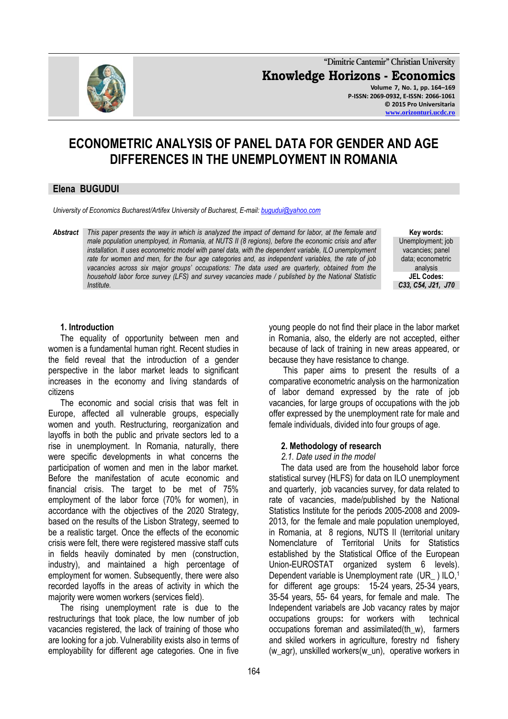

**"Dimitrie Cantemir" Christian University Knowledge Horizons - Economics Volume 7, No. 1, pp. 164–169 P-ISSN: 2069-0932, E-ISSN: 2066-1061 © 2015 Pro Universitaria [www.orizonturi.ucdc.ro](http://www.orizonturi.ucdc.ro/)**

# **ECONOMETRIC ANALYSIS OF PANEL DATA FOR GENDER AND AGE DIFFERENCES IN THE UNEMPLOYMENT IN ROMANIA**

## **Elena BUGUDUI**

*University of Economics Bucharest/Artifex University of Bucharest, E-mail[: bugudui@yahoo.com](mailto:bugudui@yahoo.com)*

*Abstract This paper presents the way in which is analyzed the impact of demand for labor, at the female and male population unemployed, in Romania, at NUTS II (8 regions), before the economic crisis and after installation. It uses econometric model with panel data, with the dependent variable, ILO unemployment rate for women and men, for the four age categories and, as independent variables, the rate of job vacancies across six major groups' occupations: The data used are quarterly, obtained from the household labor force survey (LFS) and survey vacancies made / published by the National Statistic Institute.*

**Key words:** Unemployment; job vacancies; panel data; econometric analysis **JEL Codes:** *C33, C54, J21, J70*

#### **1. Introduction**

The equality of opportunity between men and women is a fundamental human right. Recent studies in the field reveal that the introduction of a gender perspective in the labor market leads to significant increases in the economy and living standards of citizens

The economic and social crisis that was felt in Europe, affected all vulnerable groups, especially women and youth. Restructuring, reorganization and layoffs in both the public and private sectors led to a rise in unemployment. In Romania, naturally, there were specific developments in what concerns the participation of women and men in the labor market. Before the manifestation of acute economic and financial crisis. The target to be met of 75% employment of the labor force (70% for women), in accordance with the objectives of the 2020 Strategy, based on the results of the Lisbon Strategy, seemed to be a realistic target. Once the effects of the economic crisis were felt, there were registered massive staff cuts in fields heavily dominated by men (construction, industry), and maintained a high percentage of employment for women. Subsequently, there were also recorded layoffs in the areas of activity in which the majority were women workers (services field).

The rising unemployment rate is due to the restructurings that took place, the low number of job vacancies registered, the lack of training of those who are looking for a job. Vulnerability exists also in terms of employability for different age categories. One in five

young people do not find their place in the labor market in Romania, also, the elderly are not accepted, either because of lack of training in new areas appeared, or because they have resistance to change.

This paper aims to present the results of a comparative econometric analysis on the harmonization of labor demand expressed by the rate of job vacancies, for large groups of occupations with the job offer expressed by the unemployment rate for male and female individuals, divided into four groups of age.

#### **2. Methodology of research**

#### *2.1. Date used in the model*

The data used are from the household labor force statistical survey (HLFS) for data on ILO unemployment and quarterly, job vacancies survey, for data related to rate of vacancies, made/published by the National Statistics Institute for the periods 2005-2008 and 2009- 2013, for the female and male population unemployed, in Romania, at 8 regions, NUTS II (territorial unitary Nomenclature of Territorial Units for Statistics established by the Statistical Office of the European Union-EUROSTAT organized system 6 levels). Dependent variable is Unemployment rate (UR ) ILO,<sup>1</sup> for different age groups: 15-24 years, 25-34 years, 35-54 years, 55- 64 years, for female and male. The Independent variabels are Job vacancy rates by major occupations groups**:** for workers with technical occupations foreman and assimilated(th\_w), farmers and skiled workers in agriculture, forestry nd fishery (w\_agr), unskilled workers(w\_un), operative workers in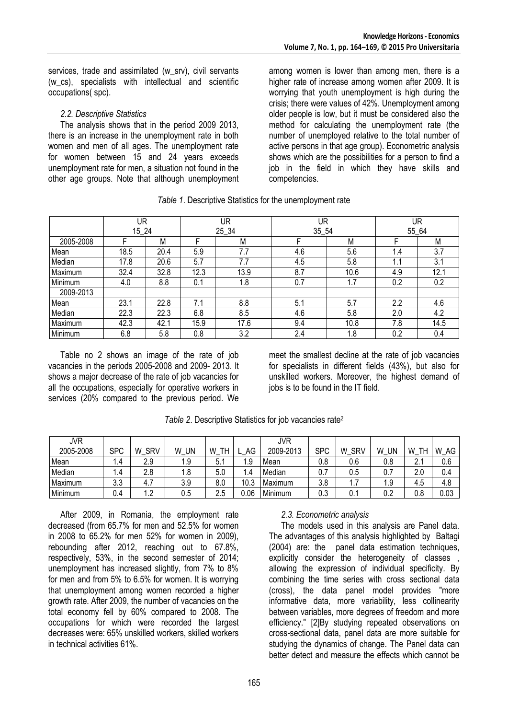services, trade and assimilated (w\_srv), civil servants (w\_cs), specialists with intellectual and scientific occupations( spc).

#### *2.2. Descriptive Statistics*

The analysis shows that in the period 2009 2013, there is an increase in the unemployment rate in both women and men of all ages. The unemployment rate for women between 15 and 24 years exceeds unemployment rate for men, a situation not found in the other age groups. Note that although unemployment

among women is lower than among men, there is a higher rate of increase among women after 2009. It is worrying that youth unemployment is high during the crisis; there were values of 42%. Unemployment among older people is low, but it must be considered also the method for calculating the unemployment rate (the number of unemployed relative to the total number of active persons in that age group). Econometric analysis shows which are the possibilities for a person to find a job in the field in which they have skills and competencies.

|           | UR    |      | UR   |       | UR    |      | UR    |      |
|-----------|-------|------|------|-------|-------|------|-------|------|
|           | 15 24 |      |      | 25 34 | 35 54 |      | 55 64 |      |
| 2005-2008 |       | M    |      | M     |       | M    |       | М    |
| Mean      | 18.5  | 20.4 | 5.9  | 7.7   | 4.6   | 5.6  | 1.4   | 3.7  |
| Median    | 17.8  | 20.6 | 5.7  | 7.7   | 4.5   | 5.8  | 1.1   | 3.1  |
| Maximum   | 32.4  | 32.8 | 12.3 | 13.9  | 8.7   | 10.6 | 4.9   | 12.1 |
| Minimum   | 4.0   | 8.8  | 0.1  | 1.8   | 0.7   | 1.7  | 0.2   | 0.2  |
| 2009-2013 |       |      |      |       |       |      |       |      |
| Mean      | 23.1  | 22.8 | 7.1  | 8.8   | 5.1   | 5.7  | 2.2   | 4.6  |
| Median    | 22.3  | 22.3 | 6.8  | 8.5   | 4.6   | 5.8  | 2.0   | 4.2  |
| Maximum   | 42.3  | 42.1 | 15.9 | 17.6  | 9.4   | 10.8 | 7.8   | 14.5 |
| Minimum   | 6.8   | 5.8  | 0.8  | 3.2   | 2.4   | 1.8  | 0.2   | 0.4  |

Table no 2 shows an image of the rate of job vacancies in the periods 2005-2008 and 2009- 2013. It shows a major decrease of the rate of job vacancies for all the occupations, especially for operative workers in services (20% compared to the previous period. We

meet the smallest decline at the rate of job vacancies for specialists in different fields (43%), but also for unskilled workers. Moreover, the highest demand of jobs is to be found in the IT field.

| JVR       |            |                 |         |         |               | JVR       |            |                 |         |         |         |
|-----------|------------|-----------------|---------|---------|---------------|-----------|------------|-----------------|---------|---------|---------|
| 2005-2008 | <b>SPC</b> | <b>SRV</b><br>W | W<br>UN | TН<br>W | AG            | 2009-2013 | <b>SPC</b> | <b>SRV</b><br>W | UN<br>W | W<br>TH | W<br>AG |
| Mean      | ، ۱        | 2.9             | 1.9     | ს.      | . 9           | Mean      | 0.8        | 0.6             | 0.8     |         | 0.6     |
| Median    | ا .4       | 2.8             | ı.o     | 5.0     | $\mathcal{A}$ | Median    |            | 0.5             | 0.i     | 2.0     | 0.4     |
| Maximum   | 3.3        | 4. .            | 3.9     | 8.0     | 10.ა          | Maximum   | 3.8        | –<br>1.7        | 1.9     | 4.5     | 4.8     |
| Minimum   | 0.4        | $\overline{2}$  | 0.5     | 2.5     | 0.06          | Minimum   | 0.3        | 0.1             | 0.2     | 0.8     | 0.03    |

*Table 2*. Descriptive Statistics for job vacancies rate<sup>2</sup>

After 2009, in Romania, the employment rate decreased (from 65.7% for men and 52.5% for women in 2008 to 65.2% for men 52% for women in 2009), rebounding after 2012, reaching out to 67.8%, respectively, 53%, in the second semester of 2014; unemployment has increased slightly, from 7% to 8% for men and from 5% to 6.5% for women. It is worrying that unemployment among women recorded a higher growth rate. After 2009, the number of vacancies on the total economy fell by 60% compared to 2008. The occupations for which were recorded the largest decreases were: 65% unskilled workers, skilled workers in technical activities 61%.

#### *2.3. Econometric analysis*

The models used in this analysis are Panel data. The advantages of this analysis highlighted by Baltagi (2004) are: the panel data estimation techniques, explicitly consider the heterogeneity of classes , allowing the expression of individual specificity. By combining the time series with cross sectional data (cross), the data panel model provides "more informative data, more variability, less collinearity between variables, more degrees of freedom and more efficiency." [2]By studying repeated observations on cross-sectional data, panel data are more suitable for studying the dynamics of change. The Panel data can better detect and measure the effects which cannot be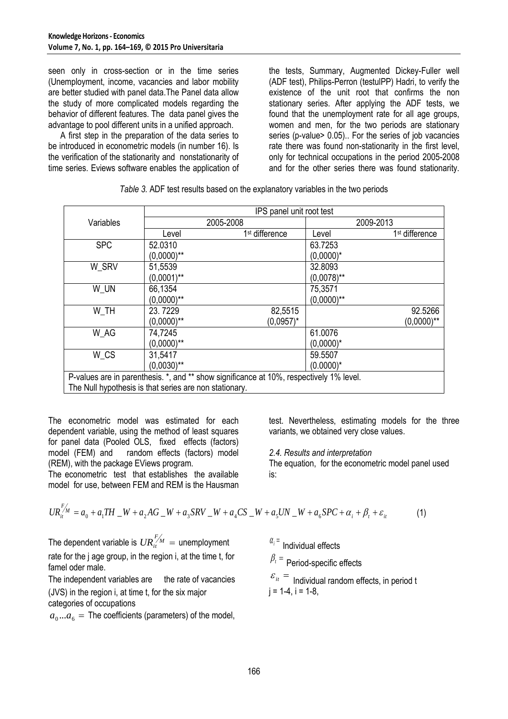seen only in cross-section or in the time series (Unemployment, income, vacancies and labor mobility are better studied with panel data.The Panel data allow the study of more complicated models regarding the behavior of different features. The data panel gives the advantage to pool different units in a unified approach.

A first step in the preparation of the data series to be introduced in econometric models (in number 16). Is the verification of the stationarity and nonstationarity of time series. Eviews software enables the application of the tests, Summary, Augmented Dickey-Fuller well (ADF test), Philips-Perron (testulPP) Hadri, to verify the existence of the unit root that confirms the non stationary series. After applying the ADF tests, we found that the unemployment rate for all age groups, women and men, for the two periods are stationary series (p-value> 0.05).. For the series of job vacancies rate there was found non-stationarity in the first level, only for technical occupations in the period 2005-2008 and for the other series there was found stationarity.

|                                                                                         | IPS panel unit root test                               |                            |               |                            |  |  |  |  |  |
|-----------------------------------------------------------------------------------------|--------------------------------------------------------|----------------------------|---------------|----------------------------|--|--|--|--|--|
| Variables                                                                               |                                                        | 2005-2008                  | 2009-2013     |                            |  |  |  |  |  |
|                                                                                         | Level                                                  | 1 <sup>st</sup> difference | Level         | 1 <sup>st</sup> difference |  |  |  |  |  |
| <b>SPC</b>                                                                              | 52.0310                                                |                            | 63.7253       |                            |  |  |  |  |  |
|                                                                                         | $(0,0000)$ **                                          |                            | $(0,0000)^*$  |                            |  |  |  |  |  |
| W SRV                                                                                   | 51,5539                                                |                            | 32.8093       |                            |  |  |  |  |  |
|                                                                                         | $(0.0001)$ **                                          |                            | $(0,0078)$ ** |                            |  |  |  |  |  |
| W UN                                                                                    | 66,1354                                                |                            | 75,3571       |                            |  |  |  |  |  |
|                                                                                         | $(0,0000)$ **                                          |                            | $(0,0000)$ ** |                            |  |  |  |  |  |
| W TH                                                                                    | 23.7229                                                | 82,5515                    |               | 92.5266                    |  |  |  |  |  |
|                                                                                         | $(0,0000)$ **                                          | $(0,0957)^*$               |               | $(0,0000)$ **              |  |  |  |  |  |
| W AG                                                                                    | 74,7245                                                |                            | 61.0076       |                            |  |  |  |  |  |
|                                                                                         | $(0,0000)$ **                                          |                            | $(0.0000)^*$  |                            |  |  |  |  |  |
| W CS                                                                                    | 31,5417                                                |                            | 59.5507       |                            |  |  |  |  |  |
|                                                                                         | $(0,0030)$ **                                          |                            | $(0.0000)^*$  |                            |  |  |  |  |  |
| P-values are in parenthesis. *, and ** show significance at 10%, respectively 1% level. |                                                        |                            |               |                            |  |  |  |  |  |
|                                                                                         | The Null hypothesis is that series are non stationary. |                            |               |                            |  |  |  |  |  |

The econometric model was estimated for each dependent variable, using the method of least squares for panel data (Pooled OLS, fixed effects (factors) model (FEM) and random effects (factors) model (REM), with the package EViews program.

The econometric test that establishes the available model for use, between FEM and REM is the Hausman test. Nevertheless, estimating models for the three variants, we obtained very close values.

# *2.4. Results and interpretation*

The equation, for the econometric model panel used is:

$$
UR_{it}^{F/M} = a_0 + a_1 TH - W + a_2 AG - W + a_3 SRV - W + a_4 CS - W + a_5 UN - W + a_6 SPC + \alpha_i + \beta_t + \varepsilon_{it}
$$
(1)

The dependent variable is  $\textit{UR}^{F\!/\!\!/_{\\!M}}_i =$  unemployment rate for the j age group, in the region i, at the time t, for famel oder male.

The independent variables are the rate of vacancies (JVS) in the region i, at time t, for the six major categories of occupations

 $a_0...a_6 =$  The coefficients (parameters) of the model,

 $\alpha_i$ <sup>=</sup> Individual effects

 $\beta_{\scriptscriptstyle t}$  = Period-specific effects

 $\varepsilon_{it}$  = Individual random effects, in period t  $j = 1-4$ ,  $i = 1-8$ ,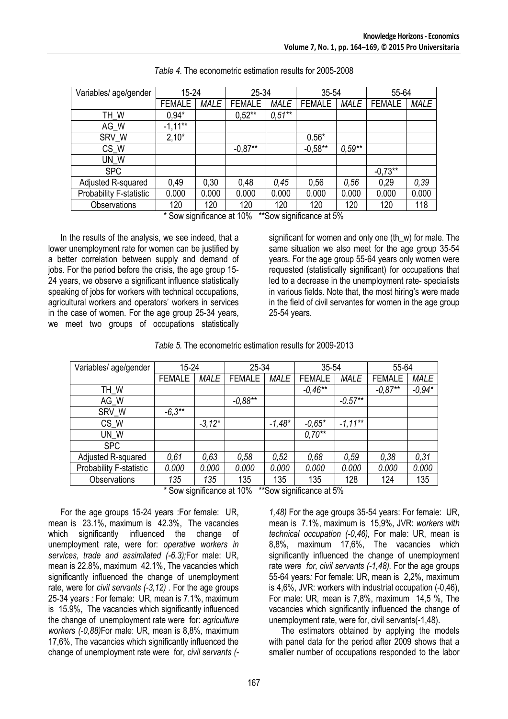| Variables/ age/gender          | 15-24         |             | 25-34         |             | 35-54         |             | 55-64         |             |
|--------------------------------|---------------|-------------|---------------|-------------|---------------|-------------|---------------|-------------|
|                                | <b>FEMALE</b> | <b>MALE</b> | <b>FEMALE</b> | <b>MALE</b> | <b>FEMALE</b> | <b>MALE</b> | <b>FEMALE</b> | <b>MALE</b> |
| TH_W                           | $0,94*$       |             | $0,52**$      | $0.51**$    |               |             |               |             |
| AG_W                           | $-1,11***$    |             |               |             |               |             |               |             |
| SRV_W                          | $2,10*$       |             |               |             | $0.56*$       |             |               |             |
| CS_W                           |               |             | $-0.87**$     |             | $-0,58**$     | $0.59**$    |               |             |
| UN W                           |               |             |               |             |               |             |               |             |
| <b>SPC</b>                     |               |             |               |             |               |             | $-0,73**$     |             |
| Adjusted R-squared             | 0,49          | 0,30        | 0,48          | 0,45        | 0,56          | 0,56        | 0,29          | 0,39        |
| <b>Probability F-statistic</b> | 0.000         | 0.000       | 0.000         | 0.000       | 0.000         | 0.000       | 0.000         | 0.000       |
| Observations                   | 120           | 120         | 120           | 120         | 120           | 120         | 120           | 118         |

\* Sow significance at 10% \*\*Sow significance at 5%

In the results of the analysis, we see indeed, that a lower unemployment rate for women can be justified by a better correlation between supply and demand of jobs. For the period before the crisis, the age group 15- 24 years, we observe a significant influence statistically speaking of jobs for workers with technical occupations, agricultural workers and operators' workers in services in the case of women. For the age group 25-34 years, we meet two groups of occupations statistically

significant for women and only one (th\_w) for male. The same situation we also meet for the age group 35-54 years. For the age group 55-64 years only women were requested (statistically significant) for occupations that led to a decrease in the unemployment rate- specialists in various fields. Note that, the most hiring's were made in the field of civil servantes for women in the age group 25-54 years.

| Table 5. The econometric estimation results for 2009-2013 |
|-----------------------------------------------------------|
|-----------------------------------------------------------|

| Variables/ age/gender   | 15-24         |             | 25-34         |             | 35-54         |             | 55-64         |             |
|-------------------------|---------------|-------------|---------------|-------------|---------------|-------------|---------------|-------------|
|                         | <b>FEMALE</b> | <b>MALE</b> | <b>FEMALE</b> | <b>MALE</b> | <b>FEMALE</b> | <b>MALE</b> | <b>FEMALE</b> | <b>MALE</b> |
| TH_W                    |               |             |               |             | $-0.46**$     |             | $-0.87**$     | $-0.94*$    |
| AG_W                    |               |             | $-0.88**$     |             |               | $-0.57**$   |               |             |
| SRV_W                   | $-6.3**$      |             |               |             |               |             |               |             |
| CS_W                    |               | $-3.12*$    |               | $-1,48*$    | $-0.65*$      | $-1,11***$  |               |             |
| UN W                    |               |             |               |             | $0.70**$      |             |               |             |
| <b>SPC</b>              |               |             |               |             |               |             |               |             |
| Adjusted R-squared      | 0,61          | 0,63        | 0,58          | 0,52        | 0,68          | 0,59        | 0,38          | 0,31        |
| Probability F-statistic | 0.000         | 0.000       | 0.000         | 0.000       | 0.000         | 0.000       | 0.000         | 0.000       |
| Observations            | 135           | 135         | 135           | 135         | 135           | 128         | 124           | 135         |

\* Sow significance at 10% \*\*Sow significance at 5%

For the age groups 15-24 years :For female: UR, mean is 23.1%, maximum is 42.3%, The vacancies which significantly influenced the change of unemployment rate, were for: *operative workers in services, trade and assimilated (-6.3);*For male: UR, mean is 22.8%, maximum 42.1%, The vacancies which significantly influenced the change of unemployment rate, were for *civil servants (-3,12) .* For the age groups 25-34 years *:* For female: UR, mean is 7.1%, maximum is 15.9%, The vacancies which significantly influenced the change of unemployment rate were for: *agriculture workers (-0,88)*For male: UR, mean is 8,8%, maximum 17,6%, The vacancies which significantly influenced the change of unemployment rate were for*, civil servants (-*

*1,48)* For the age groups 35-54 years: For female: UR, mean is 7.1%, maximum is 15,9%, JVR: *workers with technical occupation (-0,46),* For male: UR, mean is 8,8%, maximum 17,6%, The vacancies which significantly influenced the change of unemployment rate *were for, civil servants (-1,48).* For the age groups 55-64 years*:* For female: UR, mean is 2,2%, maximum is 4,6%, JVR: workers with industrial occupation (-0,46), For male: UR, mean is 7,8%, maximum 14,5 %, The vacancies which significantly influenced the change of unemployment rate, were for, civil servants(-1,48).

The estimators obtained by applying the models with panel data for the period after 2009 shows that a smaller number of occupations responded to the labor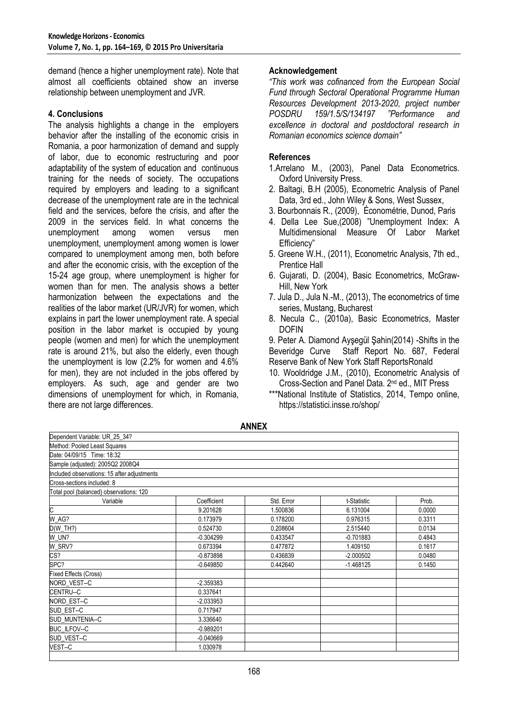demand (hence a higher unemployment rate). Note that almost all coefficients obtained show an inverse relationship between unemployment and JVR.

#### **4. Conclusions**

The analysis highlights a change in the employers behavior after the installing of the economic crisis in Romania, a poor harmonization of demand and supply of labor, due to economic restructuring and poor adaptability of the system of education and continuous training for the needs of society. The occupations required by employers and leading to a significant decrease of the unemployment rate are in the technical field and the services, before the crisis, and after the 2009 in the services field. In what concerns the unemployment among women versus men unemployment, unemployment among women is lower compared to unemployment among men, both before and after the economic crisis, with the exception of the 15-24 age group, where unemployment is higher for women than for men. The analysis shows a better harmonization between the expectations and the realities of the labor market (UR/JVR) for women, which explains in part the lower unemployment rate. A special position in the labor market is occupied by young people (women and men) for which the unemployment rate is around 21%, but also the elderly, even though the unemployment is low (2.2% for women and 4.6% for men), they are not included in the jobs offered by employers. As such, age and gender are two dimensions of unemployment for which, in Romania, there are not large differences.

#### **Acknowledgement**

*"This work was cofinanced from the European Social Fund through Sectoral Operational Programme Human Resources Development 2013-2020, project number POSDRU 159/1.5/S/134197 "Performance and excellence in doctoral and postdoctoral research in Romanian economics science domain"*

### **References**

- 1.Arrelano M., (2003), Panel Data Econometrics. Oxford University Press.
- 2. Baltagi, B.H (2005), Econometric Analysis of Panel Data, 3rd ed., John Wiley & Sons, West Sussex,
- 3. Bourbonnais R., (2009), Économétrie, Dunod, Paris
- 4. Della Lee Sue,(2008) "Unemployment Index: A Multidimensional Measure Of Labor Market Efficiency"
- 5. Greene W.H., (2011), Econometric Analysis, 7th ed., Prentice Hall
- 6. Gujarati, D. (2004), Basic Econometrics, McGraw-Hill, New York
- 7. Jula D., Jula N.-M., (2013), The econometrics of time series, Mustang, Bucharest
- 8. Necula C., (2010a), Basic Econometrics, Master DOFIN

9. Peter A. Diamond Ayşegül Şahin(2014) -Shifts in the Staff Report No. 687, Federal Reserve Bank of New York Staff ReportsRonald

- 10. Wooldridge J.M., (2010), Econometric Analysis of Cross-Section and Panel Data. 2nd ed., MIT Press
- \*\*\*National Institute of Statistics, 2014, Tempo online, https://statistici.insse.ro/shop/

Dependent Variable: UR\_25\_34? Method: Pooled Least Squares Date: 04/09/15 Time: 18:32 Sample (adjusted): 2005Q2 2008Q4 ncluded observations: 15 after adjustments Cross-sections included: 8 Total pool (balanced) observations: 120 Variable Coefficient Std. Error t-Statistic Prob. C 9.201628 1.500836 6.131004 0.0000 W\_AG? | 0.173979 | 0.178200 | 0.976315 | 0.3311 D(W\_TH?) 0.524730 0.208604 2.515440 0.0134 W\_UN? -0.304299 0.433547 -0.701883 0.4843 W\_SRV? 0.673394 | 0.477872 | 1.409150 | 0.1617 CS? -0.873898 | 0.436839 | 2.000502 | 0.4480 0.4480 | 0.436839 | 0.4480 0.0480 0.0480 0.0480 0.0480 0.0480 0.0 SPC? -0.649850 | 0.442640 | -1.468125 | 0.1450 | -1.5769 | 0.1450 | -1.468125 | -0.1450 Fixed Effects (Cross) NORD\_VEST--C -2.359383 CENTRU--C 0.337641 NORD EST--C -2.033953 SUD\_EST--C 0.717947 SUD\_MUNTENIA--C 3.336640 BUC\_ILFOV--C -0.989201 SUD\_VEST--C VEST--C 1.030978

**ANNEX**